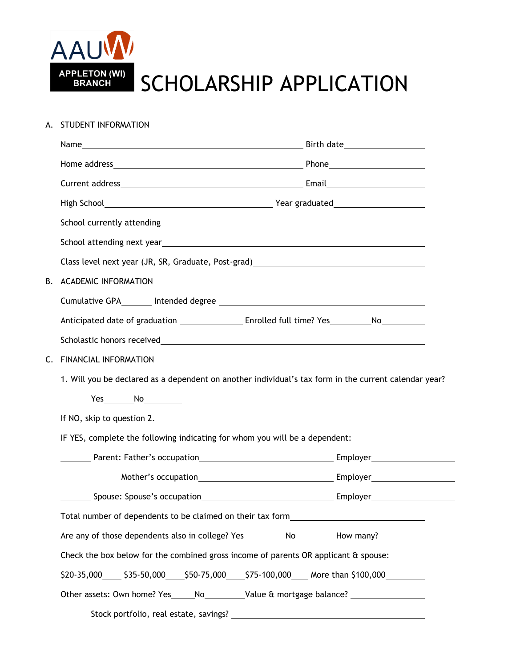

APPLETON (WI) SCHOLARSHIP APPLICATION

## A. STUDENT INFORMATION

|                                                                                                  | School currently attending The Contract of the Contract of the Contract of the Contract of the Contract of the Contract of the Contract of the Contract of the Contract of the Contract of the Contract of the Contract of the         |  |  |
|--------------------------------------------------------------------------------------------------|----------------------------------------------------------------------------------------------------------------------------------------------------------------------------------------------------------------------------------------|--|--|
|                                                                                                  | School attending next year<br><u> and the manual contract of the manual contract of the manual contract of the manual contract of the manual contract of the manual contract of the manual contract of the manual contract of the </u> |  |  |
|                                                                                                  |                                                                                                                                                                                                                                        |  |  |
| В.                                                                                               | <b>ACADEMIC INFORMATION</b>                                                                                                                                                                                                            |  |  |
|                                                                                                  |                                                                                                                                                                                                                                        |  |  |
|                                                                                                  |                                                                                                                                                                                                                                        |  |  |
|                                                                                                  |                                                                                                                                                                                                                                        |  |  |
| C.                                                                                               |                                                                                                                                                                                                                                        |  |  |
|                                                                                                  | 1. Will you be declared as a dependent on another individual's tax form in the current calendar year?                                                                                                                                  |  |  |
|                                                                                                  | $Yes$ No $N$                                                                                                                                                                                                                           |  |  |
|                                                                                                  | If NO, skip to question 2.                                                                                                                                                                                                             |  |  |
|                                                                                                  | IF YES, complete the following indicating for whom you will be a dependent:                                                                                                                                                            |  |  |
|                                                                                                  |                                                                                                                                                                                                                                        |  |  |
|                                                                                                  |                                                                                                                                                                                                                                        |  |  |
|                                                                                                  |                                                                                                                                                                                                                                        |  |  |
|                                                                                                  | Total number of dependents to be claimed on their tax form                                                                                                                                                                             |  |  |
|                                                                                                  | Are any of those dependents also in college? Yes ____________No__________How many? ________________                                                                                                                                    |  |  |
|                                                                                                  | Check the box below for the combined gross income of parents OR applicant & spouse:                                                                                                                                                    |  |  |
| \$20-35,000_____ \$35-50,000_____\$50-75,000_____\$75-100,000_____More than \$100,000___________ |                                                                                                                                                                                                                                        |  |  |
| Other assets: Own home? Yes_____No___________Value & mortgage balance? _________________         |                                                                                                                                                                                                                                        |  |  |
|                                                                                                  | Stock portfolio, real estate, savings? _                                                                                                                                                                                               |  |  |